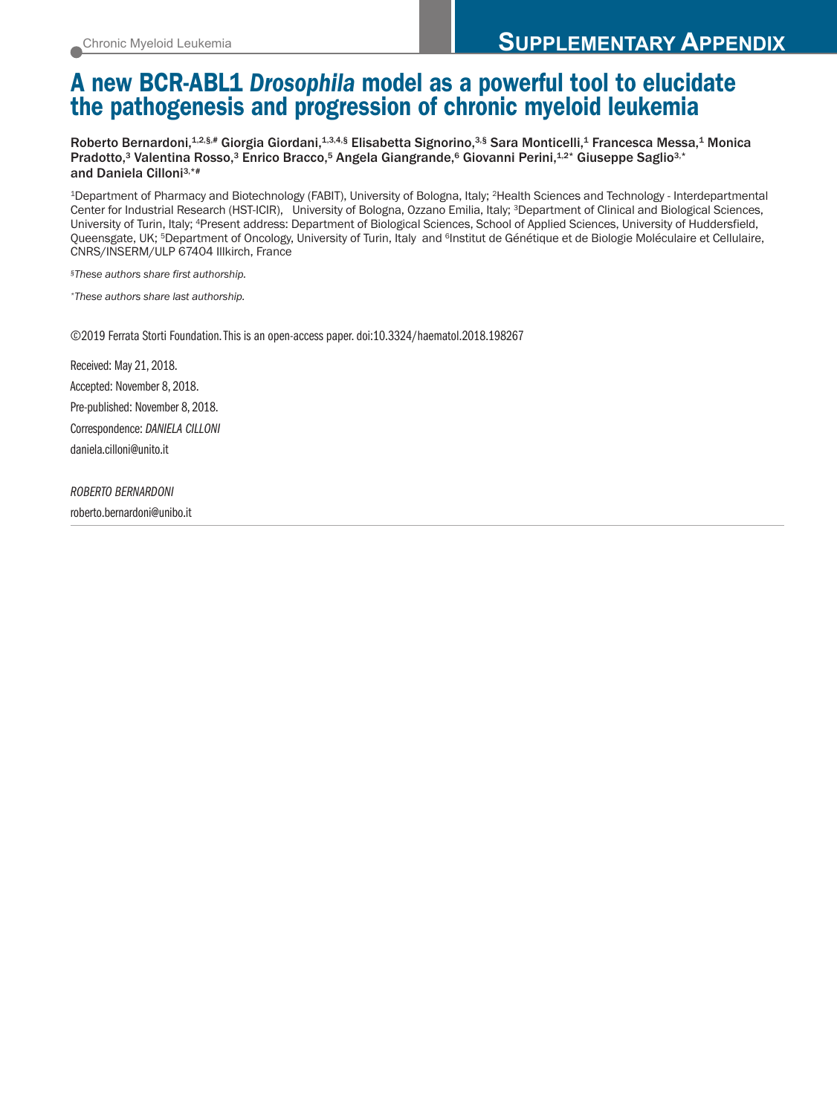# **A new BCR-ABL1** *Drosophila* **model as a powerful tool to elucidate the pathogenesis and progression of chronic myeloid leukemia**

Roberto Bernardoni, $^{1,2,\S,\#}$  Giorgia Giordani, $^{1,3,4,\S}$  Elisabetta Signorino, $^{3,\S}$  Sara Monticelli, $^1$  Francesca Messa, $^1$  Monica Pradotto,3 Valentina Rosso,3 Enrico Bracco,5 Angela Giangrande,6 Giovanni Perini,1.2\* Giuseppe Saglio3.\* and Daniela Cilloni 3,\*#

1Department of Pharmacy and Biotechnology (FABIT), University of Bologna, Italy; 2Health Sciences and Technology - Interdepartmental Center for Industrial Research (HST-ICIR), University of Bologna, Ozzano Emilia, Italy; 3Department of Clinical and Biological Sciences, University of Turin, Italy; 4Present address: Department of Biological Sciences, School of Applied Sciences, University of Huddersfield, Queensgate, UK; <sup>5</sup>Department of Oncology, University of Turin, Italy and <sup>6</sup>Institut de Génétique et de Biologie Moléculaire et Cellulaire, CNRS/INSERM/ULP 67404 Illkirch, France

*§These authors share first authorship.*

*\*These authors share last authorship.*

©2019 Ferrata Storti Foundation.This is an open-access paper. doi:10.3324/haematol.2018.198267

Received: May 21, 2018. Accepted: November 8, 2018. Pre-published: November 8, 2018. Correspondence: *DANIELA CILLONI* daniela.cilloni@unito.it

*ROBERTO BERNARDONI*

roberto.bernardoni@unibo.it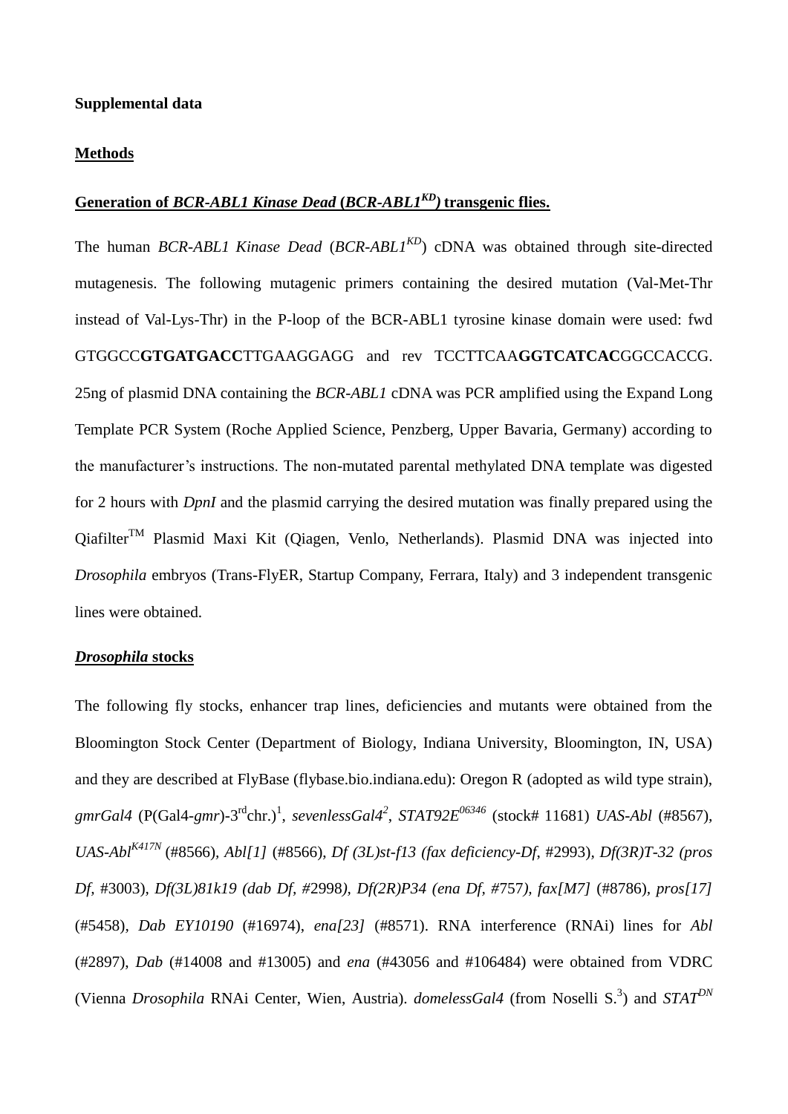### **Methods**

# **Generation of** *BCR-ABL1 Kinase Dead* **(***BCR-ABL1KD)* **transgenic flies.**

The human *BCR-ABL1 Kinase Dead* (*BCR-ABL1KD*) cDNA was obtained through site-directed mutagenesis. The following mutagenic primers containing the desired mutation (Val-Met-Thr instead of Val-Lys-Thr) in the P-loop of the BCR-ABL1 tyrosine kinase domain were used: fwd GTGGCC**GTGATGACC**TTGAAGGAGG and rev TCCTTCAA**GGTCATCAC**GGCCACCG. 25ng of plasmid DNA containing the *BCR-ABL1* cDNA was PCR amplified using the Expand Long Template PCR System (Roche Applied Science, Penzberg, Upper Bavaria, Germany) according to the manufacturer's instructions. The non-mutated parental methylated DNA template was digested for 2 hours with *DpnI* and the plasmid carrying the desired mutation was finally prepared using the  $Qiafilter^{TM}$  Plasmid Maxi Kit (Qiagen, Venlo, Netherlands). Plasmid DNA was injected into *Drosophila* embryos (Trans-FlyER, Startup Company, Ferrara, Italy) and 3 independent transgenic lines were obtained.

### *Drosophila* **stocks**

The following fly stocks, enhancer trap lines, deficiencies and mutants were obtained from the Bloomington Stock Center (Department of Biology, Indiana University, Bloomington, IN, USA) and they are described at FlyBase (flybase.bio.indiana.edu): Oregon R (adopted as wild type strain), gmrGal4 (P(Gal4-gmr)-3<sup>rd</sup>chr.)<sup>[1](#page-9-0)</sup>[,](#page-9-1) *sevenlessGal4*<sup>2</sup>, *STAT92E<sup>06346</sup>* (stock# 11681) *UAS-Abl* (#8567)*, UAS-AblK417N* (#8566)*, Abl[1]* (#8566), *Df (3L)st-f13 (fax deficiency-Df*, #2993)*, Df(3R)T-32 (pros Df,* #3003)*, Df(3L)81k19 (dab Df, #*2998*), Df(2R)P34 (ena Df, #*757*), fax[M7]* (#8786)*, pros[17]*  (#5458)*, Dab EY10190* (#16974), *ena[23]* (#8571). RNA interference (RNAi) lines for *Abl* (#2897), *Dab* (#14008 and #13005) and *ena* (#43056 and #106484) were obtained from VDRC (Vienna *Drosophila* RNAi Center, Wien, Austria)[.](#page-9-2) *domelessGal4* (from Noselli S.<sup>3</sup>[\)](#page-9-2) and *STAT*<sup>DN</sup>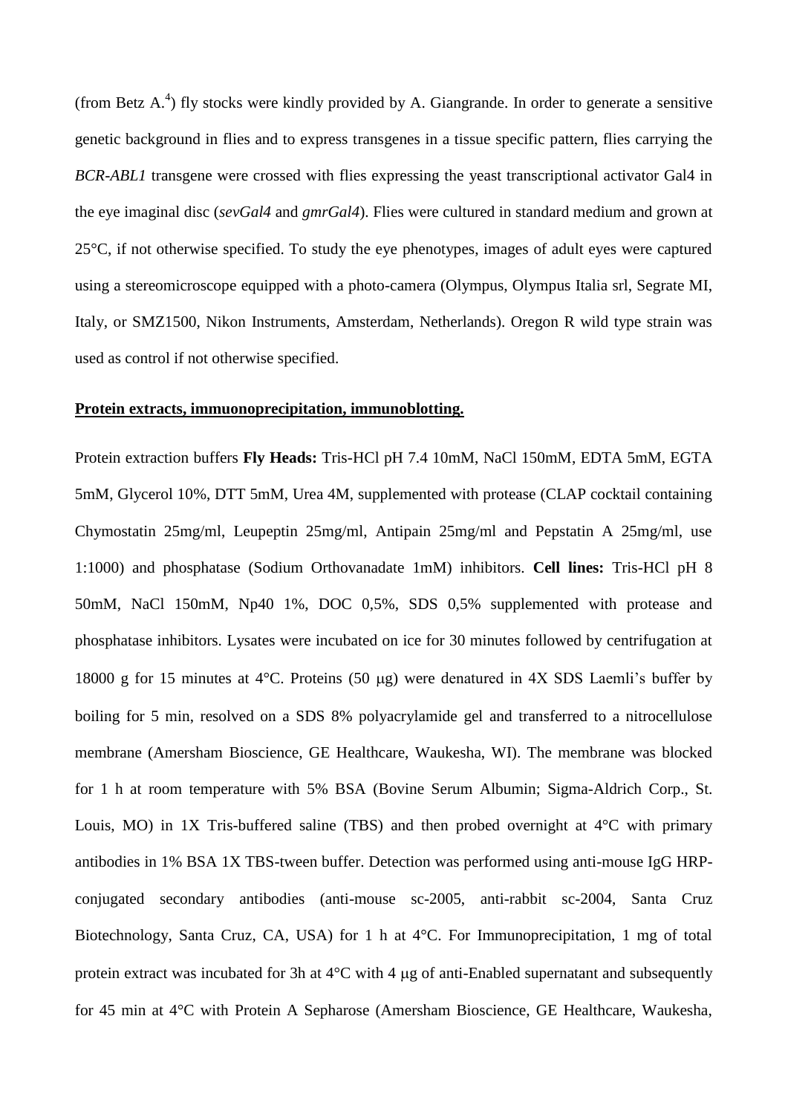(from Betz  $A^A$ [\)](#page-9-3) fly stocks were kindly provided by A. Giangrande. In order to generate a sensitive genetic background in flies and to express transgenes in a tissue specific pattern, flies carrying the *BCR-ABL1* transgene were crossed with flies expressing the yeast transcriptional activator Gal4 in the eye imaginal disc (*sevGal4* and *gmrGal4*). Flies were cultured in standard medium and grown at 25°C, if not otherwise specified. To study the eye phenotypes, images of adult eyes were captured using a stereomicroscope equipped with a photo-camera (Olympus, Olympus Italia srl, Segrate MI, Italy, or SMZ1500, Nikon Instruments, Amsterdam, Netherlands). Oregon R wild type strain was used as control if not otherwise specified.

#### **Protein extracts, immuonoprecipitation, immunoblotting.**

Protein extraction buffers **Fly Heads:** Tris-HCl pH 7.4 10mM, NaCl 150mM, EDTA 5mM, EGTA 5mM, Glycerol 10%, DTT 5mM, Urea 4M, supplemented with protease (CLAP cocktail containing Chymostatin 25mg/ml, Leupeptin 25mg/ml, Antipain 25mg/ml and Pepstatin A 25mg/ml, use 1:1000) and phosphatase (Sodium Orthovanadate 1mM) inhibitors. **Cell lines:** Tris-HCl pH 8 50mM, NaCl 150mM, Np40 1%, DOC 0,5%, SDS 0,5% supplemented with protease and phosphatase inhibitors. Lysates were incubated on ice for 30 minutes followed by centrifugation at 18000 g for 15 minutes at 4 $\degree$ C. Proteins (50 µg) were denatured in 4X SDS Laemli's buffer by boiling for 5 min, resolved on a SDS 8% polyacrylamide gel and transferred to a nitrocellulose membrane (Amersham Bioscience, GE Healthcare, Waukesha, WI). The membrane was blocked for 1 h at room temperature with 5% BSA (Bovine Serum Albumin; Sigma-Aldrich Corp., St. Louis, MO) in 1X Tris-buffered saline (TBS) and then probed overnight at  $4^{\circ}$ C with primary antibodies in 1% BSA 1X TBS-tween buffer. Detection was performed using anti-mouse IgG HRPconjugated secondary antibodies (anti-mouse sc-2005, anti-rabbit sc-2004, Santa Cruz Biotechnology, Santa Cruz, CA, USA) for 1 h at 4°C. For Immunoprecipitation, 1 mg of total protein extract was incubated for 3h at  $4^{\circ}$ C with 4  $\mu$ g of anti-Enabled supernatant and subsequently for 45 min at 4°C with Protein A Sepharose (Amersham Bioscience, GE Healthcare, Waukesha,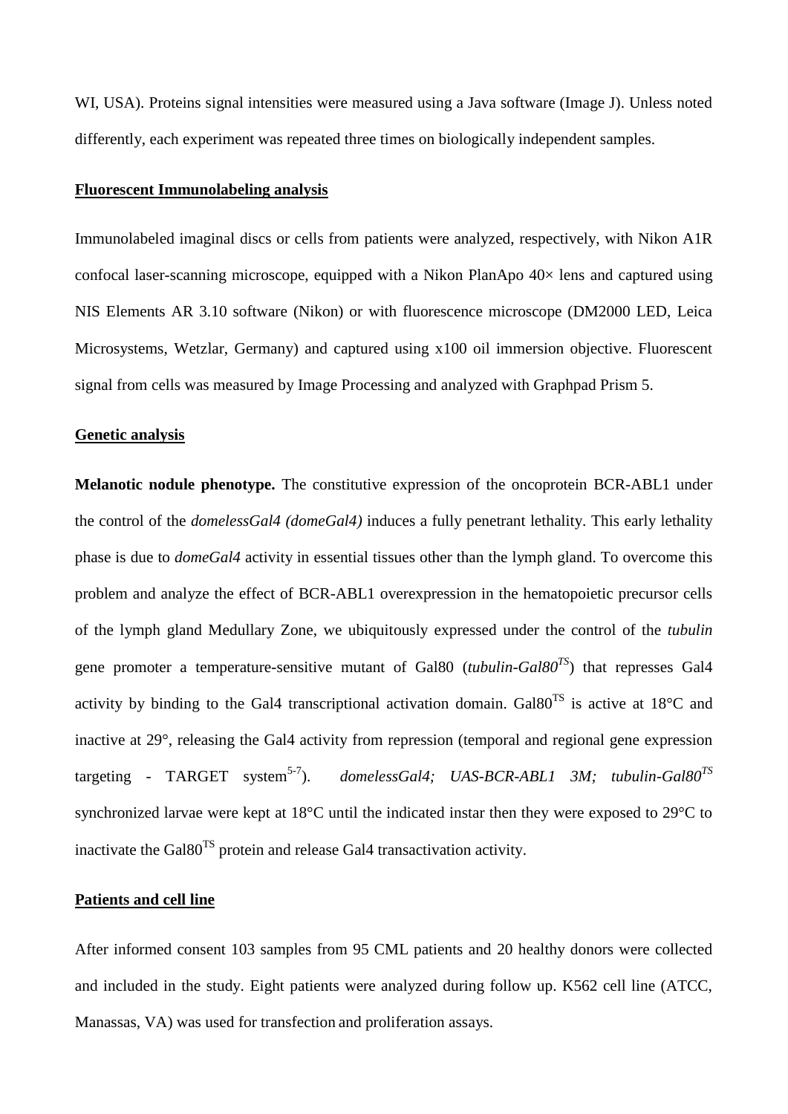WI, USA). Proteins signal intensities were measured using a Java software (Image J). Unless noted differently, each experiment was repeated three times on biologically independent samples.

### **Fluorescent Immunolabeling analysis**

Immunolabeled imaginal discs or cells from patients were analyzed, respectively, with Nikon A1R confocal laser-scanning microscope, equipped with a Nikon PlanApo 40× lens and captured using NIS Elements AR 3.10 software (Nikon) or with fluorescence microscope (DM2000 LED, Leica Microsystems, Wetzlar, Germany) and captured using x100 oil immersion objective. Fluorescent signal from cells was measured by Image Processing and analyzed with Graphpad Prism 5.

#### **Genetic analysis**

**Melanotic nodule phenotype.** The constitutive expression of the oncoprotein BCR-ABL1 under the control of the *domelessGal4 (domeGal4)* induces a fully penetrant lethality. This early lethality phase is due to *domeGal4* activity in essential tissues other than the lymph gland. To overcome this problem and analyze the effect of BCR-ABL1 overexpression in the hematopoietic precursor cells of the lymph gland Medullary Zone, we ubiquitously expressed under the control of the *tubulin* gene promoter a temperature-sensitive mutant of Gal80 (*tubulin-Gal80TS*) that represses Gal4 activity by binding to the Gal4 transcriptional activation domain. Gal $80^{TS}$  is active at  $18^{\circ}$ C and inactive at 29°, releasing the Gal4 activity from repression (temporal and regional gene expression targeting - TARGET system<sup>[5-7](#page-9-4)</sup>). ). *domelessGal4; UAS-BCR-ABL1 3M; tubulin-Gal80TS* synchronized larvae were kept at 18°C until the indicated instar then they were exposed to 29°C to inactivate the Gal80TS protein and release Gal4 transactivation activity.

#### **Patients and cell line**

After informed consent 103 samples from 95 CML patients and 20 healthy donors were collected and included in the study. Eight patients were analyzed during follow up. K562 cell line (ATCC, Manassas, VA) was used for transfection and proliferation assays.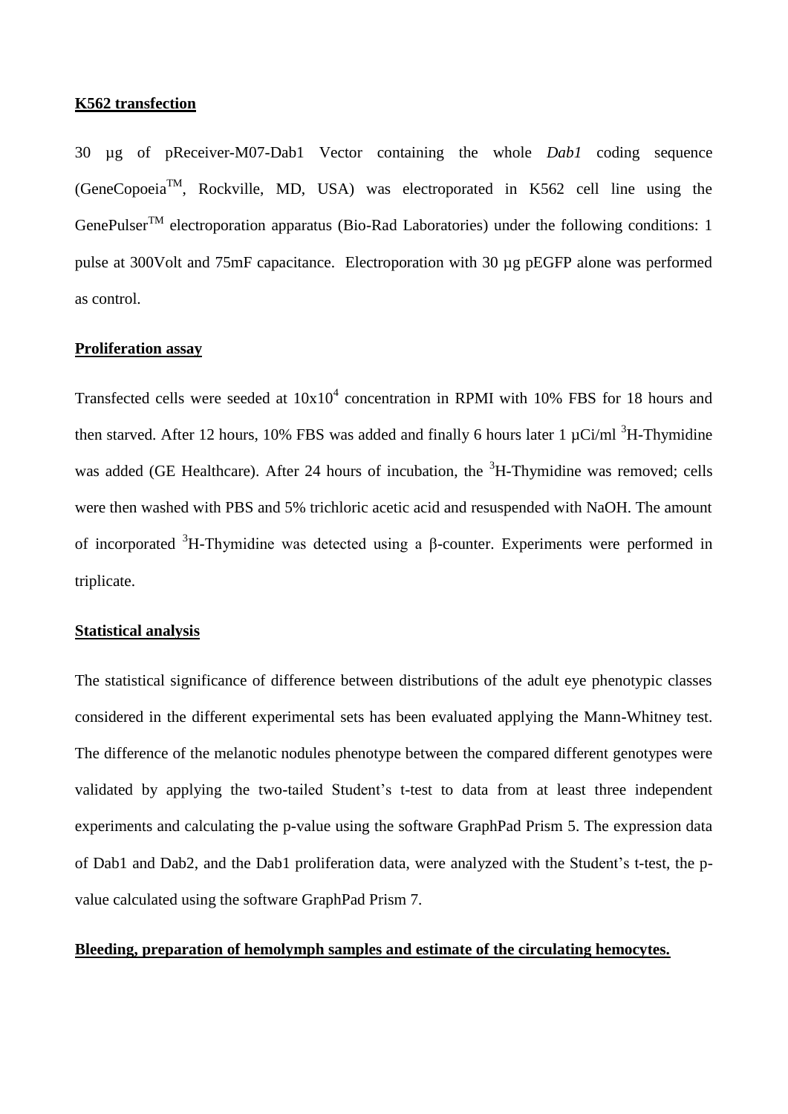### **K562 transfection**

30 µg of pReceiver-M07-Dab1 Vector containing the whole *Dab1* coding sequence  $(GeneCopoeia<sup>TM</sup>, Rockville, MD, USA)$  was electroporated in K562 cell line using the GenePulser<sup>TM</sup> electroporation apparatus (Bio-Rad Laboratories) under the following conditions: 1 pulse at 300Volt and 75mF capacitance. Electroporation with 30 µg pEGFP alone was performed as control.

### **Proliferation assay**

Transfected cells were seeded at  $10x10^4$  concentration in RPMI with 10% FBS for 18 hours and then starved. After 12 hours, 10% FBS was added and finally 6 hours later 1  $\mu$ Ci/ml <sup>3</sup>H-Thymidine was added (GE Healthcare). After 24 hours of incubation, the  ${}^{3}H$ -Thymidine was removed; cells were then washed with PBS and 5% trichloric acetic acid and resuspended with NaOH. The amount of incorporated <sup>3</sup>H-Thymidine was detected using a β-counter. Experiments were performed in triplicate.

### **Statistical analysis**

The statistical significance of difference between distributions of the adult eye phenotypic classes considered in the different experimental sets has been evaluated applying the Mann-Whitney test. The difference of the melanotic nodules phenotype between the compared different genotypes were validated by applying the two-tailed Student's t-test to data from at least three independent experiments and calculating the p-value using the software GraphPad Prism 5. The expression data of Dab1 and Dab2, and the Dab1 proliferation data, were analyzed with the Student's t-test, the pvalue calculated using the software GraphPad Prism 7.

## **Bleeding, preparation of hemolymph samples and estimate of the circulating hemocytes.**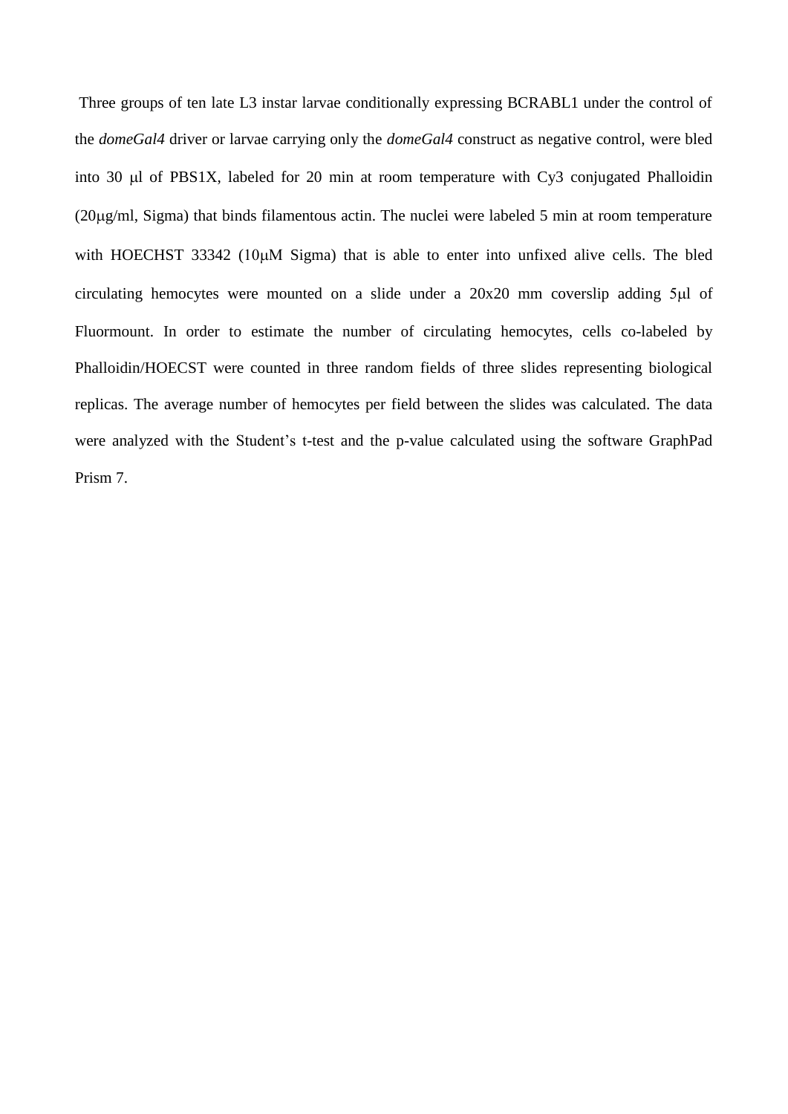Three groups of ten late L3 instar larvae conditionally expressing BCRABL1 under the control of the *domeGal4* driver or larvae carrying only the *domeGal4* construct as negative control, were bled into 30  $\mu$ l of PBS1X, labeled for 20 min at room temperature with Cy3 conjugated Phalloidin (20g/ml, Sigma) that binds filamentous actin. The nuclei were labeled 5 min at room temperature with HOECHST 33342 ( $10\mu$ M Sigma) that is able to enter into unfixed alive cells. The bled circulating hemocytes were mounted on a slide under a  $20x20$  mm coverslip adding  $5\mu$  of Fluormount. In order to estimate the number of circulating hemocytes, cells co-labeled by Phalloidin/HOECST were counted in three random fields of three slides representing biological replicas. The average number of hemocytes per field between the slides was calculated. The data were analyzed with the Student's t-test and the p-value calculated using the software GraphPad Prism 7.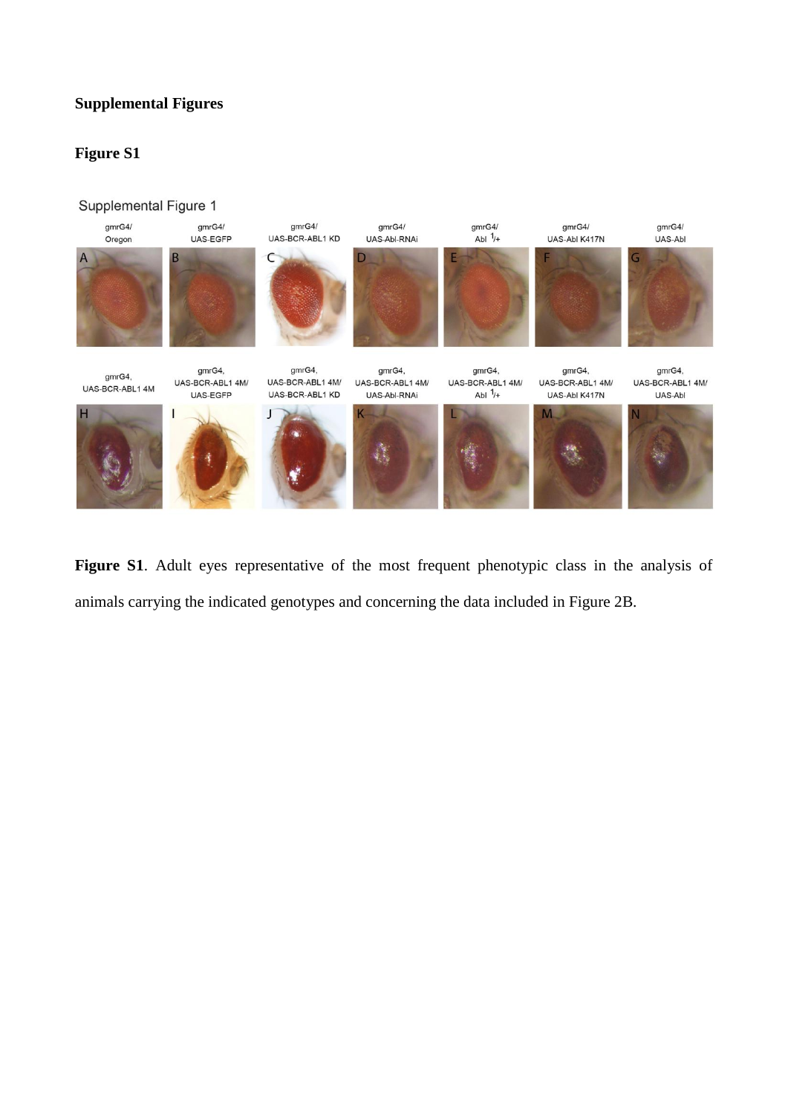# **Supplemental Figures**

# **Figure S1**

#### Supplemental Figure 1



**Figure S1**. Adult eyes representative of the most frequent phenotypic class in the analysis of animals carrying the indicated genotypes and concerning the data included in Figure 2B.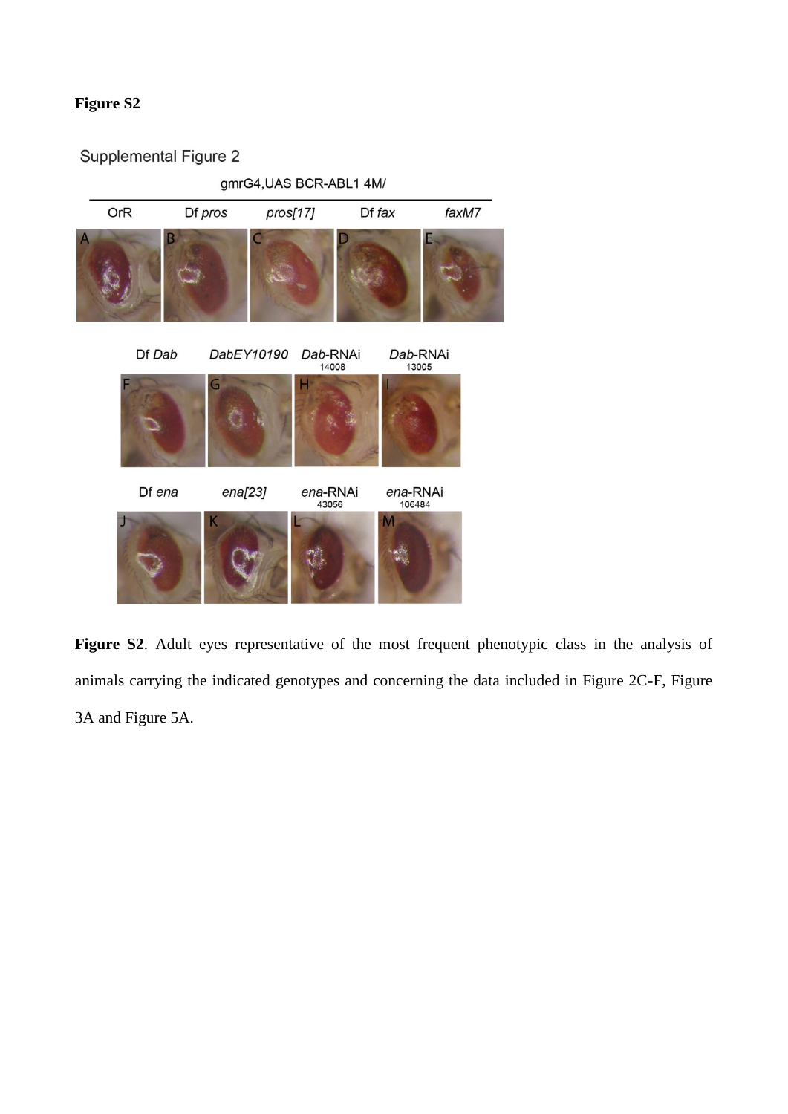# **Figure S2**

# Supplemental Figure 2



**Figure S2**. Adult eyes representative of the most frequent phenotypic class in the analysis of animals carrying the indicated genotypes and concerning the data included in Figure 2C-F, Figure 3A and Figure 5A.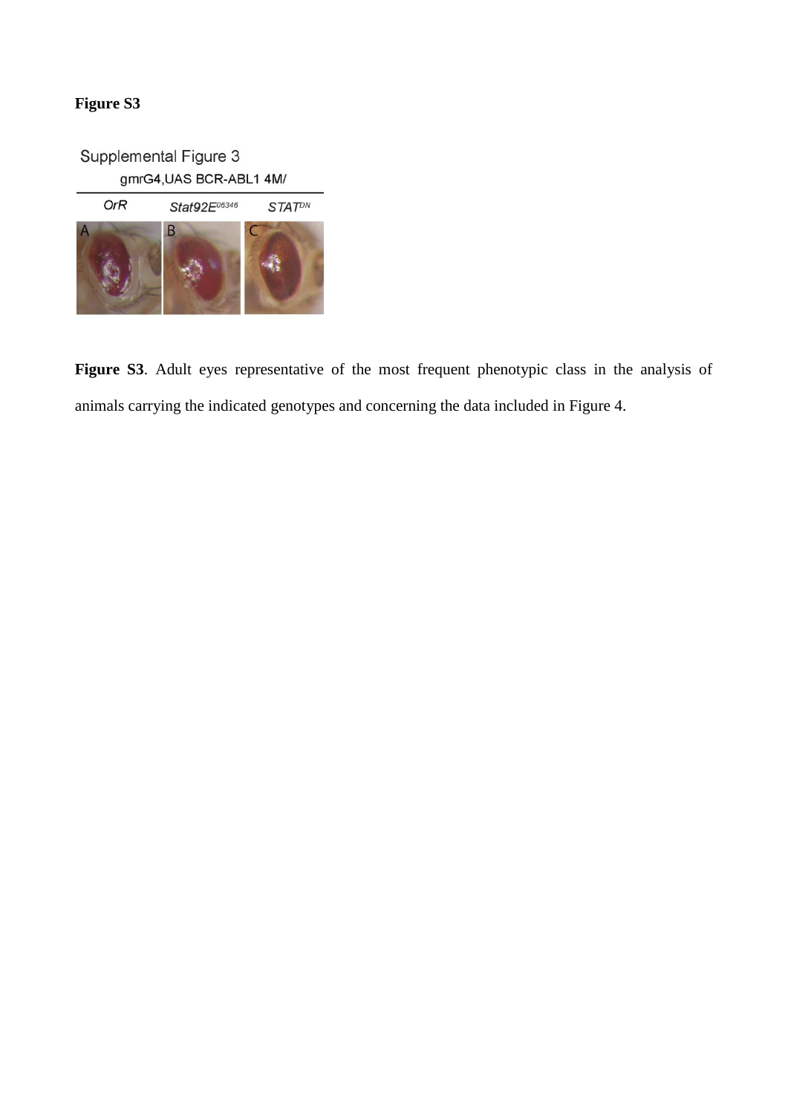# **Figure S3**

Supplemental Figure 3 gmrG4, UAS BCR-ABL1 4M/



**Figure S3**. Adult eyes representative of the most frequent phenotypic class in the analysis of animals carrying the indicated genotypes and concerning the data included in Figure 4.